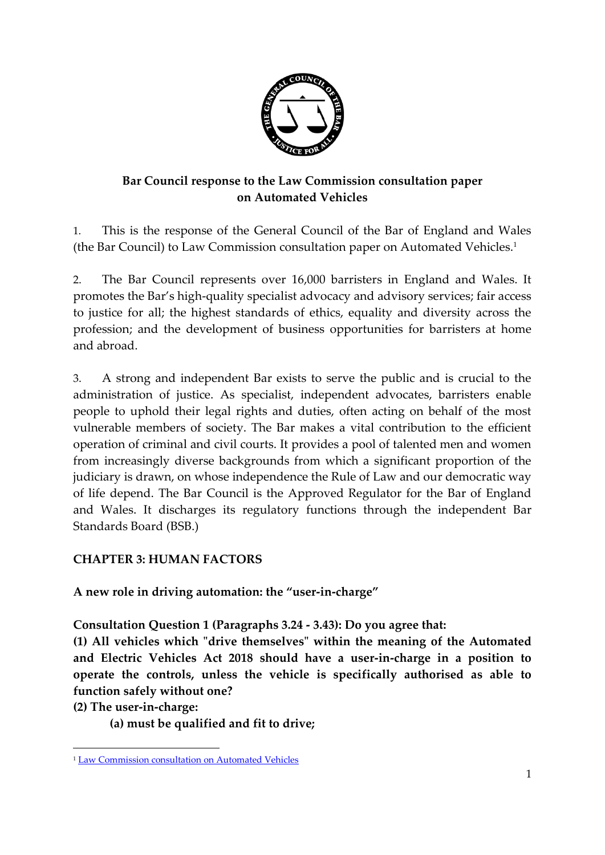

# **Bar Council response to the Law Commission consultation paper on Automated Vehicles**

1. This is the response of the General Council of the Bar of England and Wales (the Bar Council) to Law Commission consultation paper on Automated Vehicles. 1

2. The Bar Council represents over 16,000 barristers in England and Wales. It promotes the Bar's high-quality specialist advocacy and advisory services; fair access to justice for all; the highest standards of ethics, equality and diversity across the profession; and the development of business opportunities for barristers at home and abroad.

3. A strong and independent Bar exists to serve the public and is crucial to the administration of justice. As specialist, independent advocates, barristers enable people to uphold their legal rights and duties, often acting on behalf of the most vulnerable members of society. The Bar makes a vital contribution to the efficient operation of criminal and civil courts. It provides a pool of talented men and women from increasingly diverse backgrounds from which a significant proportion of the judiciary is drawn, on whose independence the Rule of Law and our democratic way of life depend. The Bar Council is the Approved Regulator for the Bar of England and Wales. It discharges its regulatory functions through the independent Bar Standards Board (BSB.)

## **CHAPTER 3: HUMAN FACTORS**

**A new role in driving automation: the "user-in-charge"**

**Consultation Question 1 (Paragraphs 3.24 - 3.43): Do you agree that:**

**(1) All vehicles which "drive themselves" within the meaning of the Automated and Electric Vehicles Act 2018 should have a user-in-charge in a position to operate the controls, unless the vehicle is specifically authorised as able to function safely without one?**

**(2) The user-in-charge:**

**.** 

**(a) must be qualified and fit to drive;**

<sup>1</sup> [Law Commission consultation on Automated Vehicles](https://www.lawcom.gov.uk/project/automated-vehicles/)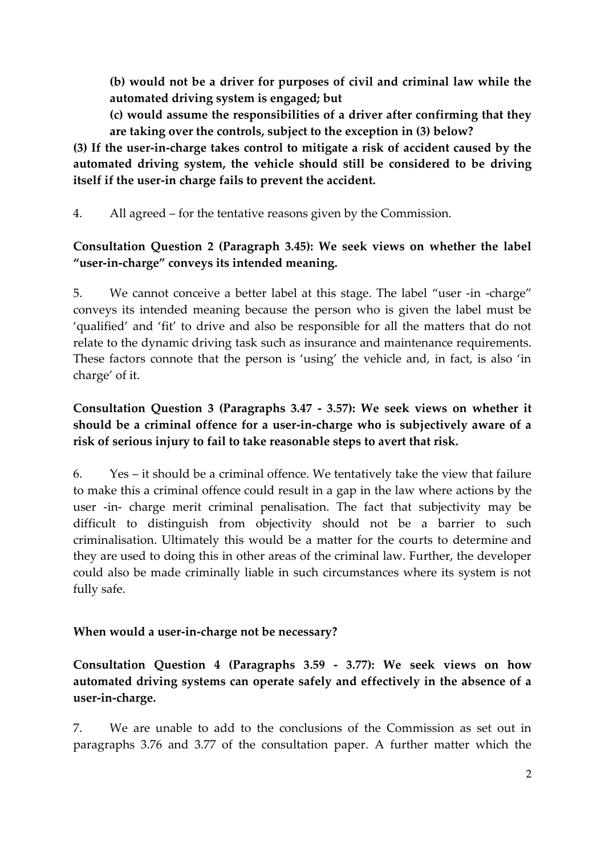**(b) would not be a driver for purposes of civil and criminal law while the automated driving system is engaged; but**

**(c) would assume the responsibilities of a driver after confirming that they are taking over the controls, subject to the exception in (3) below?**

**(3) If the user-in-charge takes control to mitigate a risk of accident caused by the automated driving system, the vehicle should still be considered to be driving itself if the user-in charge fails to prevent the accident.**

4. All agreed – for the tentative reasons given by the Commission.

## **Consultation Question 2 (Paragraph 3.45): We seek views on whether the label "user-in-charge" conveys its intended meaning.**

5. We cannot conceive a better label at this stage. The label "user -in -charge" conveys its intended meaning because the person who is given the label must be 'qualified' and 'fit' to drive and also be responsible for all the matters that do not relate to the dynamic driving task such as insurance and maintenance requirements. These factors connote that the person is 'using' the vehicle and, in fact, is also 'in charge' of it.

## **Consultation Question 3 (Paragraphs 3.47 - 3.57): We seek views on whether it should be a criminal offence for a user-in-charge who is subjectively aware of a risk of serious injury to fail to take reasonable steps to avert that risk.**

6. Yes – it should be a criminal offence. We tentatively take the view that failure to make this a criminal offence could result in a gap in the law where actions by the user -in- charge merit criminal penalisation. The fact that subjectivity may be difficult to distinguish from objectivity should not be a barrier to such criminalisation. Ultimately this would be a matter for the courts to determine and they are used to doing this in other areas of the criminal law. Further, the developer could also be made criminally liable in such circumstances where its system is not fully safe.

## **When would a user-in-charge not be necessary?**

**Consultation Question 4 (Paragraphs 3.59 - 3.77): We seek views on how automated driving systems can operate safely and effectively in the absence of a user-in-charge.**

7. We are unable to add to the conclusions of the Commission as set out in paragraphs 3.76 and 3.77 of the consultation paper. A further matter which the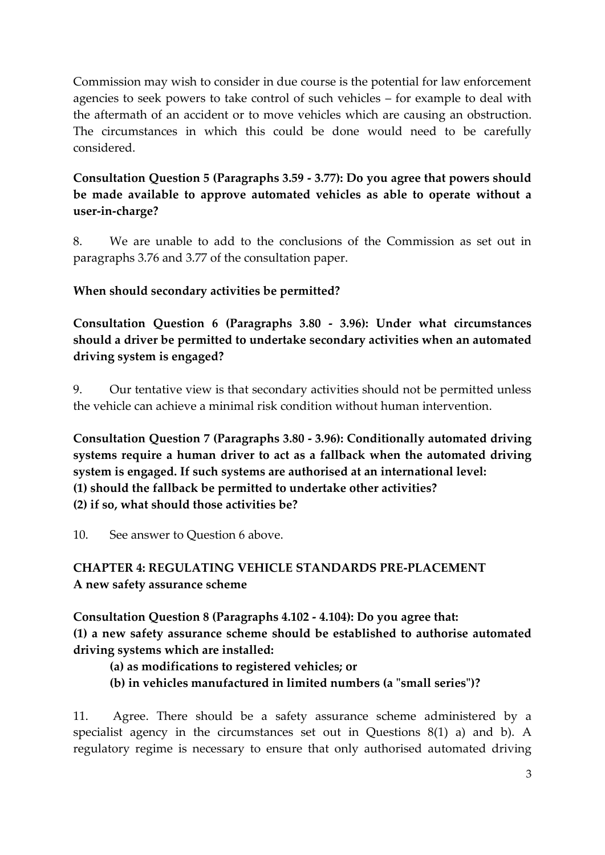Commission may wish to consider in due course is the potential for law enforcement agencies to seek powers to take control of such vehicles – for example to deal with the aftermath of an accident or to move vehicles which are causing an obstruction. The circumstances in which this could be done would need to be carefully considered.

# **Consultation Question 5 (Paragraphs 3.59 - 3.77): Do you agree that powers should be made available to approve automated vehicles as able to operate without a user-in-charge?**

8. We are unable to add to the conclusions of the Commission as set out in paragraphs 3.76 and 3.77 of the consultation paper.

# **When should secondary activities be permitted?**

**Consultation Question 6 (Paragraphs 3.80 - 3.96): Under what circumstances should a driver be permitted to undertake secondary activities when an automated driving system is engaged?**

9. Our tentative view is that secondary activities should not be permitted unless the vehicle can achieve a minimal risk condition without human intervention.

**Consultation Question 7 (Paragraphs 3.80 - 3.96): Conditionally automated driving systems require a human driver to act as a fallback when the automated driving system is engaged. If such systems are authorised at an international level: (1) should the fallback be permitted to undertake other activities? (2) if so, what should those activities be?**

10. See answer to Question 6 above.

# **CHAPTER 4: REGULATING VEHICLE STANDARDS PRE-PLACEMENT A new safety assurance scheme**

**Consultation Question 8 (Paragraphs 4.102 - 4.104): Do you agree that: (1) a new safety assurance scheme should be established to authorise automated driving systems which are installed:** 

- **(a) as modifications to registered vehicles; or**
- **(b) in vehicles manufactured in limited numbers (a "small series")?**

11. Agree. There should be a safety assurance scheme administered by a specialist agency in the circumstances set out in Questions 8(1) a) and b). A regulatory regime is necessary to ensure that only authorised automated driving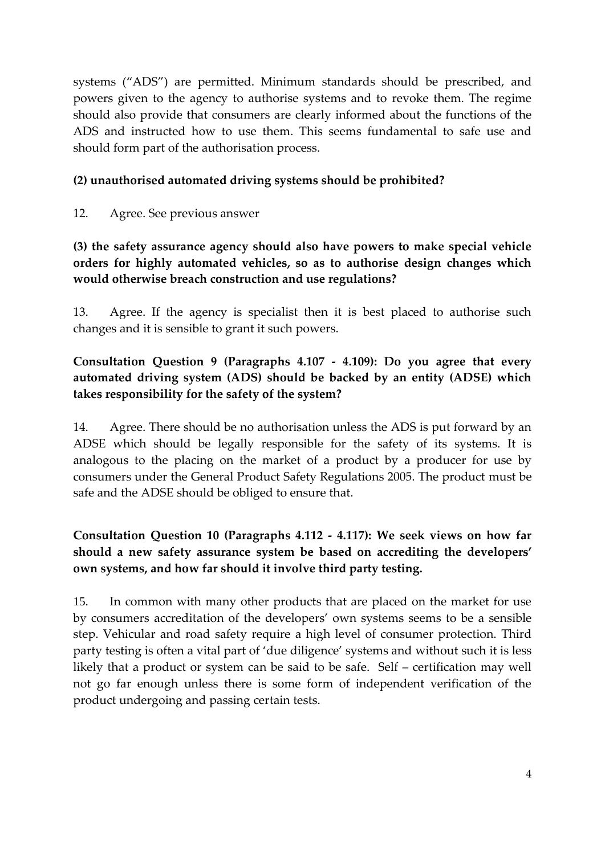systems ("ADS") are permitted. Minimum standards should be prescribed, and powers given to the agency to authorise systems and to revoke them. The regime should also provide that consumers are clearly informed about the functions of the ADS and instructed how to use them. This seems fundamental to safe use and should form part of the authorisation process.

#### **(2) unauthorised automated driving systems should be prohibited?**

12. Agree. See previous answer

**(3) the safety assurance agency should also have powers to make special vehicle orders for highly automated vehicles, so as to authorise design changes which would otherwise breach construction and use regulations?** 

13. Agree. If the agency is specialist then it is best placed to authorise such changes and it is sensible to grant it such powers.

## **Consultation Question 9 (Paragraphs 4.107 - 4.109): Do you agree that every automated driving system (ADS) should be backed by an entity (ADSE) which takes responsibility for the safety of the system?**

14. Agree. There should be no authorisation unless the ADS is put forward by an ADSE which should be legally responsible for the safety of its systems. It is analogous to the placing on the market of a product by a producer for use by consumers under the General Product Safety Regulations 2005. The product must be safe and the ADSE should be obliged to ensure that.

# **Consultation Question 10 (Paragraphs 4.112 - 4.117): We seek views on how far should a new safety assurance system be based on accrediting the developers' own systems, and how far should it involve third party testing.**

15. In common with many other products that are placed on the market for use by consumers accreditation of the developers' own systems seems to be a sensible step. Vehicular and road safety require a high level of consumer protection. Third party testing is often a vital part of 'due diligence' systems and without such it is less likely that a product or system can be said to be safe. Self – certification may well not go far enough unless there is some form of independent verification of the product undergoing and passing certain tests.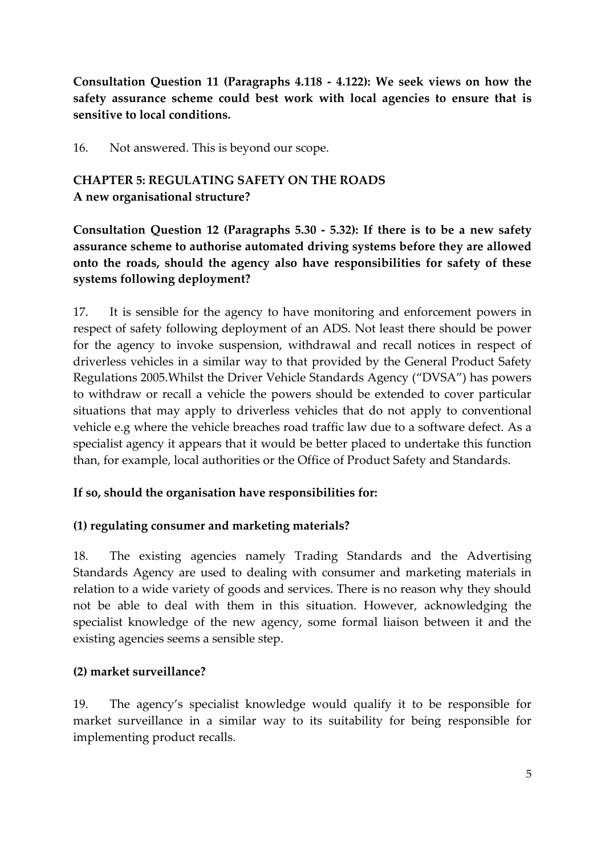**Consultation Question 11 (Paragraphs 4.118 - 4.122): We seek views on how the safety assurance scheme could best work with local agencies to ensure that is sensitive to local conditions.**

16. Not answered. This is beyond our scope.

## **CHAPTER 5: REGULATING SAFETY ON THE ROADS A new organisational structure?**

**Consultation Question 12 (Paragraphs 5.30 - 5.32): If there is to be a new safety assurance scheme to authorise automated driving systems before they are allowed onto the roads, should the agency also have responsibilities for safety of these systems following deployment?** 

17. It is sensible for the agency to have monitoring and enforcement powers in respect of safety following deployment of an ADS. Not least there should be power for the agency to invoke suspension, withdrawal and recall notices in respect of driverless vehicles in a similar way to that provided by the General Product Safety Regulations 2005.Whilst the Driver Vehicle Standards Agency ("DVSA") has powers to withdraw or recall a vehicle the powers should be extended to cover particular situations that may apply to driverless vehicles that do not apply to conventional vehicle e.g where the vehicle breaches road traffic law due to a software defect. As a specialist agency it appears that it would be better placed to undertake this function than, for example, local authorities or the Office of Product Safety and Standards.

#### **If so, should the organisation have responsibilities for:**

#### **(1) regulating consumer and marketing materials?**

18. The existing agencies namely Trading Standards and the Advertising Standards Agency are used to dealing with consumer and marketing materials in relation to a wide variety of goods and services. There is no reason why they should not be able to deal with them in this situation. However, acknowledging the specialist knowledge of the new agency, some formal liaison between it and the existing agencies seems a sensible step.

#### **(2) market surveillance?**

19. The agency's specialist knowledge would qualify it to be responsible for market surveillance in a similar way to its suitability for being responsible for implementing product recalls.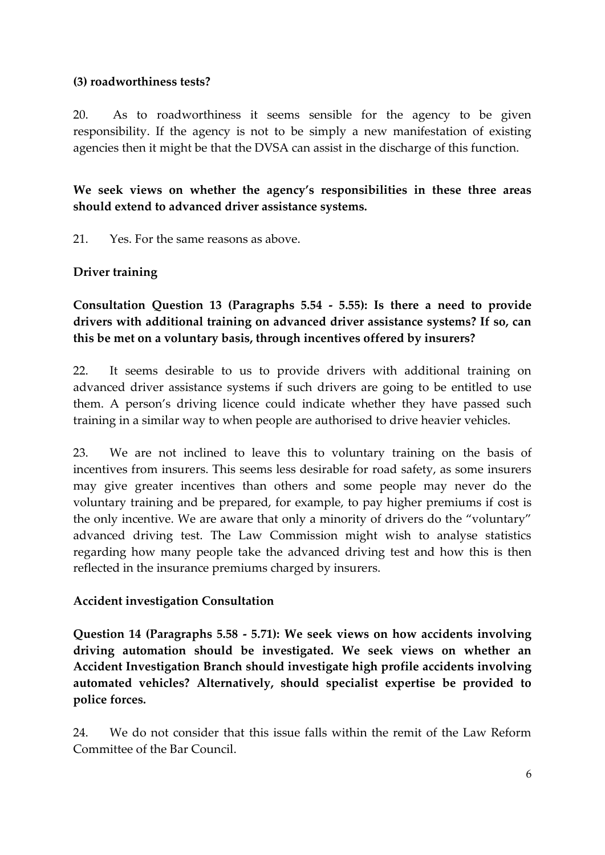#### **(3) roadworthiness tests?**

20. As to roadworthiness it seems sensible for the agency to be given responsibility. If the agency is not to be simply a new manifestation of existing agencies then it might be that the DVSA can assist in the discharge of this function.

**We seek views on whether the agency's responsibilities in these three areas should extend to advanced driver assistance systems.** 

21. Yes. For the same reasons as above.

#### **Driver training**

**Consultation Question 13 (Paragraphs 5.54 - 5.55): Is there a need to provide drivers with additional training on advanced driver assistance systems? If so, can this be met on a voluntary basis, through incentives offered by insurers?** 

22. It seems desirable to us to provide drivers with additional training on advanced driver assistance systems if such drivers are going to be entitled to use them. A person's driving licence could indicate whether they have passed such training in a similar way to when people are authorised to drive heavier vehicles.

23. We are not inclined to leave this to voluntary training on the basis of incentives from insurers. This seems less desirable for road safety, as some insurers may give greater incentives than others and some people may never do the voluntary training and be prepared, for example, to pay higher premiums if cost is the only incentive. We are aware that only a minority of drivers do the "voluntary" advanced driving test. The Law Commission might wish to analyse statistics regarding how many people take the advanced driving test and how this is then reflected in the insurance premiums charged by insurers.

#### **Accident investigation Consultation**

**Question 14 (Paragraphs 5.58 - 5.71): We seek views on how accidents involving driving automation should be investigated. We seek views on whether an Accident Investigation Branch should investigate high profile accidents involving automated vehicles? Alternatively, should specialist expertise be provided to police forces.**

24. We do not consider that this issue falls within the remit of the Law Reform Committee of the Bar Council.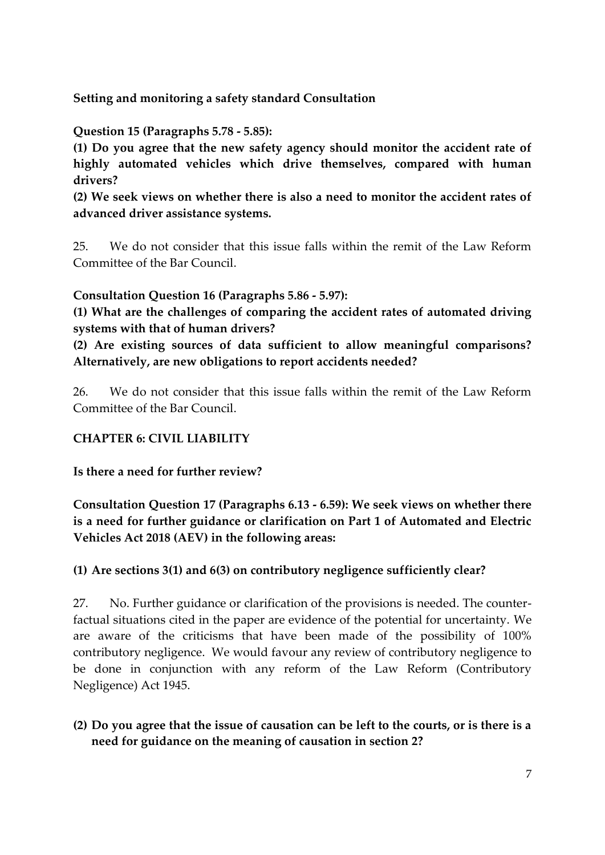**Setting and monitoring a safety standard Consultation** 

**Question 15 (Paragraphs 5.78 - 5.85):** 

**(1) Do you agree that the new safety agency should monitor the accident rate of highly automated vehicles which drive themselves, compared with human drivers?** 

**(2) We seek views on whether there is also a need to monitor the accident rates of advanced driver assistance systems.** 

25. We do not consider that this issue falls within the remit of the Law Reform Committee of the Bar Council.

**Consultation Question 16 (Paragraphs 5.86 - 5.97):** 

**(1) What are the challenges of comparing the accident rates of automated driving systems with that of human drivers?** 

**(2) Are existing sources of data sufficient to allow meaningful comparisons? Alternatively, are new obligations to report accidents needed?** 

26. We do not consider that this issue falls within the remit of the Law Reform Committee of the Bar Council.

## **CHAPTER 6: CIVIL LIABILITY**

**Is there a need for further review?** 

**Consultation Question 17 (Paragraphs 6.13 - 6.59): We seek views on whether there is a need for further guidance or clarification on Part 1 of Automated and Electric Vehicles Act 2018 (AEV) in the following areas:**

**(1) Are sections 3(1) and 6(3) on contributory negligence sufficiently clear?**

27. No. Further guidance or clarification of the provisions is needed. The counterfactual situations cited in the paper are evidence of the potential for uncertainty. We are aware of the criticisms that have been made of the possibility of 100% contributory negligence. We would favour any review of contributory negligence to be done in conjunction with any reform of the Law Reform (Contributory Negligence) Act 1945.

#### **(2) Do you agree that the issue of causation can be left to the courts, or is there is a need for guidance on the meaning of causation in section 2?**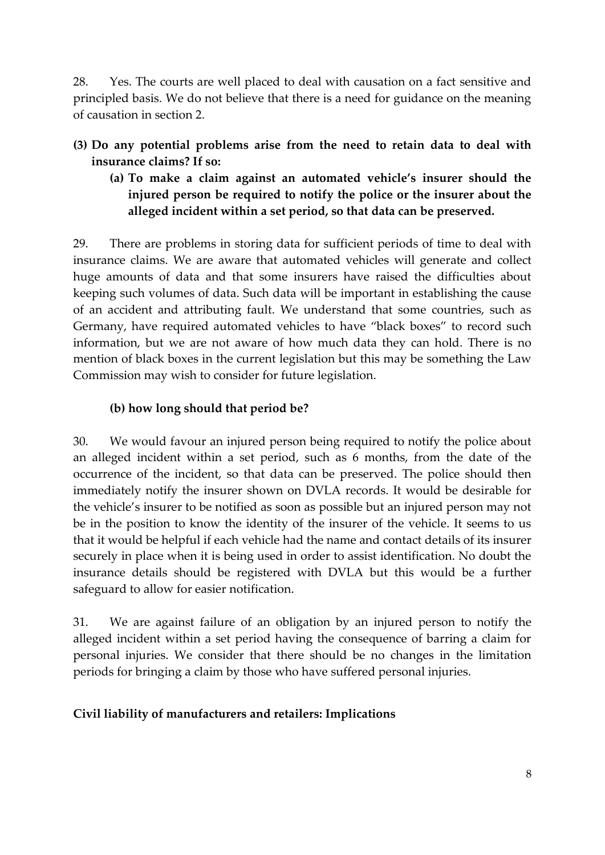28. Yes. The courts are well placed to deal with causation on a fact sensitive and principled basis. We do not believe that there is a need for guidance on the meaning of causation in section 2.

- **(3) Do any potential problems arise from the need to retain data to deal with insurance claims? If so:**
	- **(a) To make a claim against an automated vehicle's insurer should the injured person be required to notify the police or the insurer about the alleged incident within a set period, so that data can be preserved.**

29. There are problems in storing data for sufficient periods of time to deal with insurance claims. We are aware that automated vehicles will generate and collect huge amounts of data and that some insurers have raised the difficulties about keeping such volumes of data. Such data will be important in establishing the cause of an accident and attributing fault. We understand that some countries, such as Germany, have required automated vehicles to have "black boxes" to record such information, but we are not aware of how much data they can hold. There is no mention of black boxes in the current legislation but this may be something the Law Commission may wish to consider for future legislation.

## **(b) how long should that period be?**

30. We would favour an injured person being required to notify the police about an alleged incident within a set period, such as 6 months, from the date of the occurrence of the incident, so that data can be preserved. The police should then immediately notify the insurer shown on DVLA records. It would be desirable for the vehicle's insurer to be notified as soon as possible but an injured person may not be in the position to know the identity of the insurer of the vehicle. It seems to us that it would be helpful if each vehicle had the name and contact details of its insurer securely in place when it is being used in order to assist identification. No doubt the insurance details should be registered with DVLA but this would be a further safeguard to allow for easier notification.

31. We are against failure of an obligation by an injured person to notify the alleged incident within a set period having the consequence of barring a claim for personal injuries. We consider that there should be no changes in the limitation periods for bringing a claim by those who have suffered personal injuries.

## **Civil liability of manufacturers and retailers: Implications**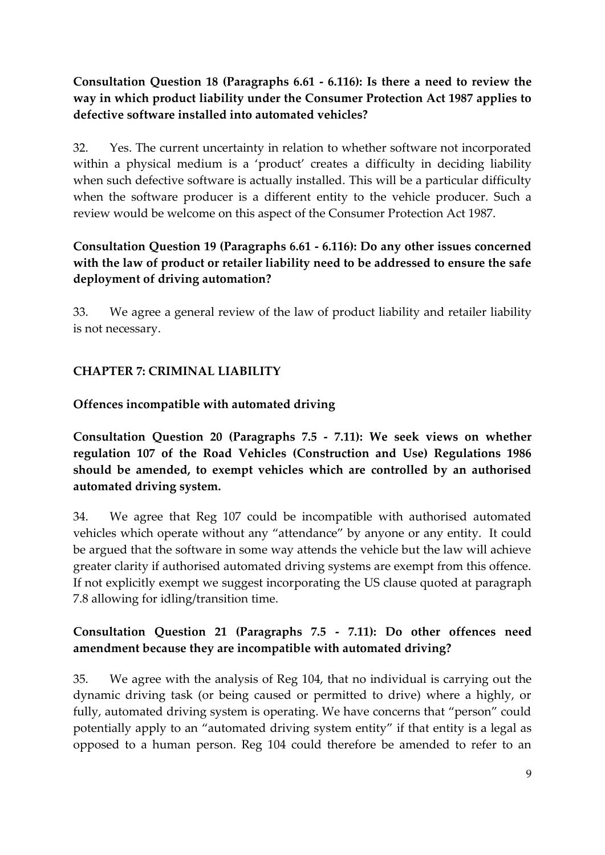## **Consultation Question 18 (Paragraphs 6.61 - 6.116): Is there a need to review the way in which product liability under the Consumer Protection Act 1987 applies to defective software installed into automated vehicles?**

32. Yes. The current uncertainty in relation to whether software not incorporated within a physical medium is a 'product' creates a difficulty in deciding liability when such defective software is actually installed. This will be a particular difficulty when the software producer is a different entity to the vehicle producer. Such a review would be welcome on this aspect of the Consumer Protection Act 1987.

# **Consultation Question 19 (Paragraphs 6.61 - 6.116): Do any other issues concerned with the law of product or retailer liability need to be addressed to ensure the safe deployment of driving automation?**

33. We agree a general review of the law of product liability and retailer liability is not necessary.

# **CHAPTER 7: CRIMINAL LIABILITY**

## **Offences incompatible with automated driving**

**Consultation Question 20 (Paragraphs 7.5 - 7.11): We seek views on whether regulation 107 of the Road Vehicles (Construction and Use) Regulations 1986 should be amended, to exempt vehicles which are controlled by an authorised automated driving system.**

34. We agree that Reg 107 could be incompatible with authorised automated vehicles which operate without any "attendance" by anyone or any entity. It could be argued that the software in some way attends the vehicle but the law will achieve greater clarity if authorised automated driving systems are exempt from this offence. If not explicitly exempt we suggest incorporating the US clause quoted at paragraph 7.8 allowing for idling/transition time.

# **Consultation Question 21 (Paragraphs 7.5 - 7.11): Do other offences need amendment because they are incompatible with automated driving?**

35. We agree with the analysis of Reg 104, that no individual is carrying out the dynamic driving task (or being caused or permitted to drive) where a highly, or fully, automated driving system is operating. We have concerns that "person" could potentially apply to an "automated driving system entity" if that entity is a legal as opposed to a human person. Reg 104 could therefore be amended to refer to an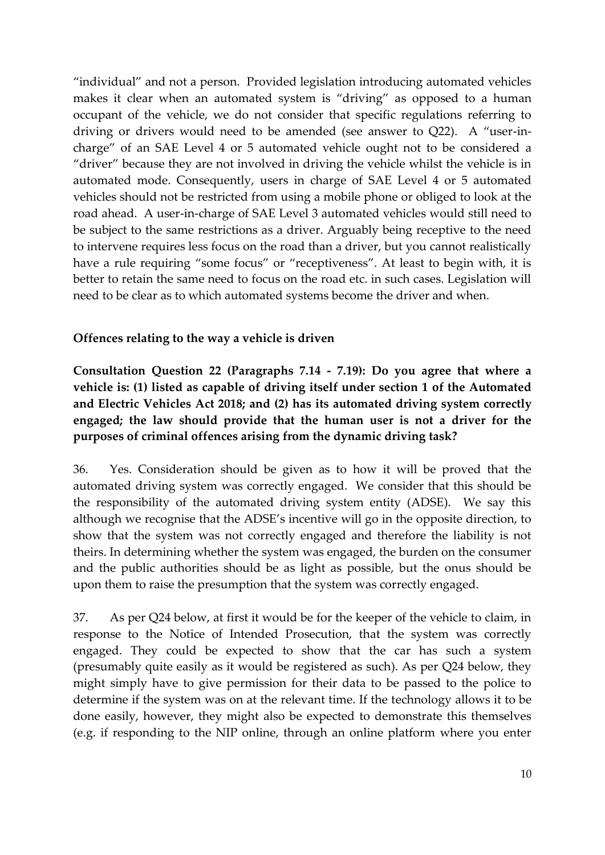"individual" and not a person. Provided legislation introducing automated vehicles makes it clear when an automated system is "driving" as opposed to a human occupant of the vehicle, we do not consider that specific regulations referring to driving or drivers would need to be amended (see answer to Q22). A "user-incharge" of an SAE Level 4 or 5 automated vehicle ought not to be considered a "driver" because they are not involved in driving the vehicle whilst the vehicle is in automated mode. Consequently, users in charge of SAE Level 4 or 5 automated vehicles should not be restricted from using a mobile phone or obliged to look at the road ahead. A user-in-charge of SAE Level 3 automated vehicles would still need to be subject to the same restrictions as a driver. Arguably being receptive to the need to intervene requires less focus on the road than a driver, but you cannot realistically have a rule requiring "some focus" or "receptiveness". At least to begin with, it is better to retain the same need to focus on the road etc. in such cases. Legislation will need to be clear as to which automated systems become the driver and when.

#### **Offences relating to the way a vehicle is driven**

**Consultation Question 22 (Paragraphs 7.14 - 7.19): Do you agree that where a vehicle is: (1) listed as capable of driving itself under section 1 of the Automated and Electric Vehicles Act 2018; and (2) has its automated driving system correctly engaged; the law should provide that the human user is not a driver for the purposes of criminal offences arising from the dynamic driving task?** 

36. Yes. Consideration should be given as to how it will be proved that the automated driving system was correctly engaged. We consider that this should be the responsibility of the automated driving system entity (ADSE). We say this although we recognise that the ADSE's incentive will go in the opposite direction, to show that the system was not correctly engaged and therefore the liability is not theirs. In determining whether the system was engaged, the burden on the consumer and the public authorities should be as light as possible, but the onus should be upon them to raise the presumption that the system was correctly engaged.

37. As per Q24 below, at first it would be for the keeper of the vehicle to claim, in response to the Notice of Intended Prosecution, that the system was correctly engaged. They could be expected to show that the car has such a system (presumably quite easily as it would be registered as such). As per Q24 below, they might simply have to give permission for their data to be passed to the police to determine if the system was on at the relevant time. If the technology allows it to be done easily, however, they might also be expected to demonstrate this themselves (e.g. if responding to the NIP online, through an online platform where you enter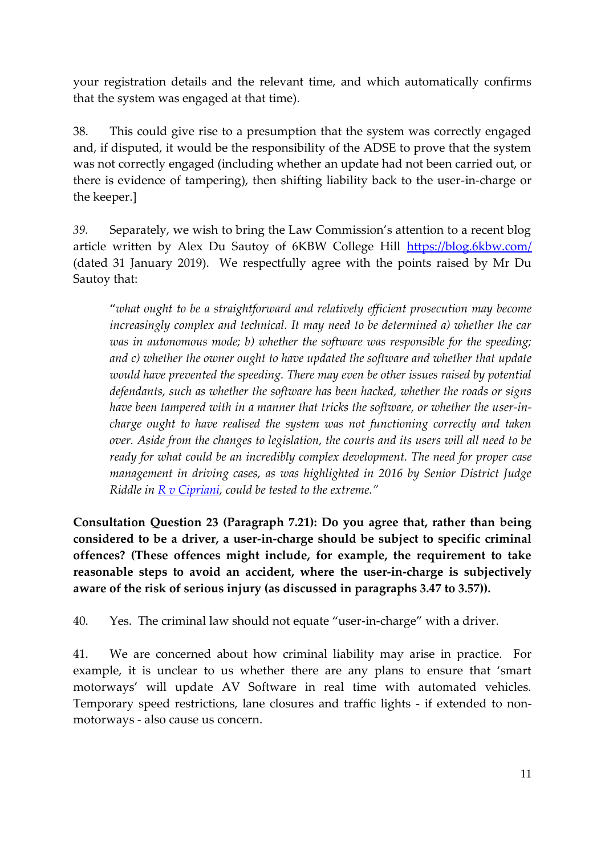your registration details and the relevant time, and which automatically confirms that the system was engaged at that time).

38. This could give rise to a presumption that the system was correctly engaged and, if disputed, it would be the responsibility of the ADSE to prove that the system was not correctly engaged (including whether an update had not been carried out, or there is evidence of tampering), then shifting liability back to the user-in-charge or the keeper.]

*39.* Separately, we wish to bring the Law Commission's attention to a recent blog article written by Alex Du Sautoy of 6KBW College Hill <https://blog.6kbw.com/> (dated 31 January 2019). We respectfully agree with the points raised by Mr Du Sautoy that:

"*what ought to be a straightforward and relatively efficient prosecution may become increasingly complex and technical. It may need to be determined a) whether the car was in autonomous mode; b) whether the software was responsible for the speeding; and c) whether the owner ought to have updated the software and whether that update would have prevented the speeding. There may even be other issues raised by potential defendants, such as whether the software has been hacked, whether the roads or signs have been tampered with in a manner that tricks the software, or whether the user-incharge ought to have realised the system was not functioning correctly and taken over. Aside from the changes to legislation, the courts and its users will all need to be ready for what could be an incredibly complex development. The need for proper case management in driving cases, as was highlighted in 2016 by Senior District Judge Riddle in [R v Cipriani](https://www.judiciary.uk/wp-content/uploads/2016/09/cps-v-cipriani-judgment.pdf), could be tested to the extreme."*

**Consultation Question 23 (Paragraph 7.21): Do you agree that, rather than being considered to be a driver, a user-in-charge should be subject to specific criminal offences? (These offences might include, for example, the requirement to take reasonable steps to avoid an accident, where the user-in-charge is subjectively aware of the risk of serious injury (as discussed in paragraphs 3.47 to 3.57)).** 

40. Yes. The criminal law should not equate "user-in-charge" with a driver.

41. We are concerned about how criminal liability may arise in practice. For example, it is unclear to us whether there are any plans to ensure that 'smart motorways' will update AV Software in real time with automated vehicles. Temporary speed restrictions, lane closures and traffic lights - if extended to nonmotorways - also cause us concern.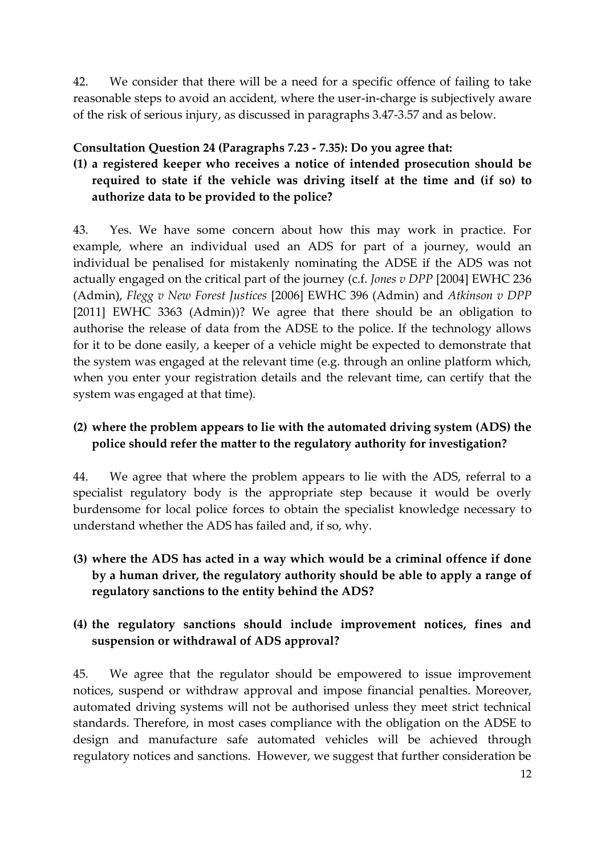42. We consider that there will be a need for a specific offence of failing to take reasonable steps to avoid an accident, where the user-in-charge is subjectively aware of the risk of serious injury, as discussed in paragraphs 3.47-3.57 and as below.

#### **Consultation Question 24 (Paragraphs 7.23 - 7.35): Do you agree that:**

# **(1) a registered keeper who receives a notice of intended prosecution should be required to state if the vehicle was driving itself at the time and (if so) to authorize data to be provided to the police?**

43. Yes. We have some concern about how this may work in practice. For example, where an individual used an ADS for part of a journey, would an individual be penalised for mistakenly nominating the ADSE if the ADS was not actually engaged on the critical part of the journey (c.f. *Jones v DPP* [2004] EWHC 236 (Admin), *Flegg v New Forest Justices* [2006] EWHC 396 (Admin) and *Atkinson v DPP*  [2011] EWHC 3363 (Admin))? We agree that there should be an obligation to authorise the release of data from the ADSE to the police. If the technology allows for it to be done easily, a keeper of a vehicle might be expected to demonstrate that the system was engaged at the relevant time (e.g. through an online platform which, when you enter your registration details and the relevant time, can certify that the system was engaged at that time).

## **(2) where the problem appears to lie with the automated driving system (ADS) the police should refer the matter to the regulatory authority for investigation?**

44. We agree that where the problem appears to lie with the ADS, referral to a specialist regulatory body is the appropriate step because it would be overly burdensome for local police forces to obtain the specialist knowledge necessary to understand whether the ADS has failed and, if so, why.

**(3) where the ADS has acted in a way which would be a criminal offence if done by a human driver, the regulatory authority should be able to apply a range of regulatory sanctions to the entity behind the ADS?**

## **(4) the regulatory sanctions should include improvement notices, fines and suspension or withdrawal of ADS approval?**

45. We agree that the regulator should be empowered to issue improvement notices, suspend or withdraw approval and impose financial penalties. Moreover, automated driving systems will not be authorised unless they meet strict technical standards. Therefore, in most cases compliance with the obligation on the ADSE to design and manufacture safe automated vehicles will be achieved through regulatory notices and sanctions. However, we suggest that further consideration be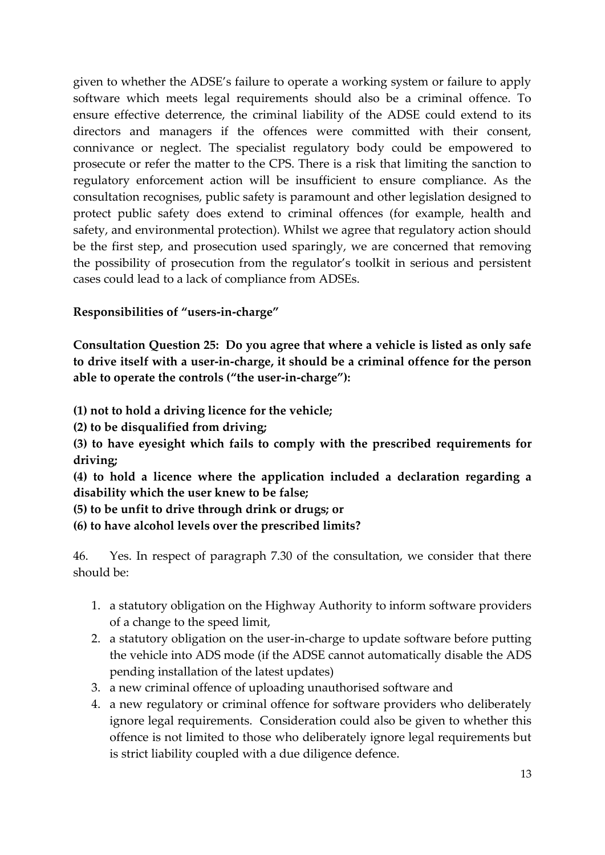given to whether the ADSE's failure to operate a working system or failure to apply software which meets legal requirements should also be a criminal offence. To ensure effective deterrence, the criminal liability of the ADSE could extend to its directors and managers if the offences were committed with their consent, connivance or neglect. The specialist regulatory body could be empowered to prosecute or refer the matter to the CPS. There is a risk that limiting the sanction to regulatory enforcement action will be insufficient to ensure compliance. As the consultation recognises, public safety is paramount and other legislation designed to protect public safety does extend to criminal offences (for example, health and safety, and environmental protection). Whilst we agree that regulatory action should be the first step, and prosecution used sparingly, we are concerned that removing the possibility of prosecution from the regulator's toolkit in serious and persistent cases could lead to a lack of compliance from ADSEs.

#### **Responsibilities of "users-in-charge"**

**Consultation Question 25: Do you agree that where a vehicle is listed as only safe to drive itself with a user-in-charge, it should be a criminal offence for the person able to operate the controls ("the user-in-charge"):**

- **(1) not to hold a driving licence for the vehicle;**
- **(2) to be disqualified from driving;**

**(3) to have eyesight which fails to comply with the prescribed requirements for driving;**

**(4) to hold a licence where the application included a declaration regarding a disability which the user knew to be false;**

**(5) to be unfit to drive through drink or drugs; or**

**(6) to have alcohol levels over the prescribed limits?**

46. Yes. In respect of paragraph 7.30 of the consultation, we consider that there should be:

- 1. a statutory obligation on the Highway Authority to inform software providers of a change to the speed limit,
- 2. a statutory obligation on the user-in-charge to update software before putting the vehicle into ADS mode (if the ADSE cannot automatically disable the ADS pending installation of the latest updates)
- 3. a new criminal offence of uploading unauthorised software and
- 4. a new regulatory or criminal offence for software providers who deliberately ignore legal requirements. Consideration could also be given to whether this offence is not limited to those who deliberately ignore legal requirements but is strict liability coupled with a due diligence defence.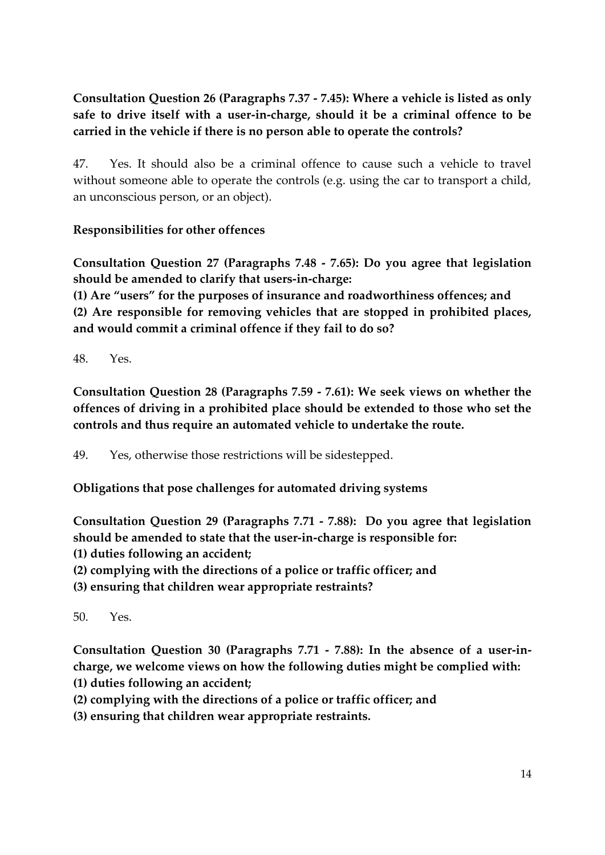# **Consultation Question 26 (Paragraphs 7.37 - 7.45): Where a vehicle is listed as only safe to drive itself with a user-in-charge, should it be a criminal offence to be carried in the vehicle if there is no person able to operate the controls?**

47. Yes. It should also be a criminal offence to cause such a vehicle to travel without someone able to operate the controls (e.g. using the car to transport a child, an unconscious person, or an object).

## **Responsibilities for other offences**

**Consultation Question 27 (Paragraphs 7.48 - 7.65): Do you agree that legislation should be amended to clarify that users-in-charge:**

**(1) Are "users" for the purposes of insurance and roadworthiness offences; and (2) Are responsible for removing vehicles that are stopped in prohibited places, and would commit a criminal offence if they fail to do so?**

48. Yes.

**Consultation Question 28 (Paragraphs 7.59 - 7.61): We seek views on whether the offences of driving in a prohibited place should be extended to those who set the controls and thus require an automated vehicle to undertake the route.**

49. Yes, otherwise those restrictions will be sidestepped.

**Obligations that pose challenges for automated driving systems** 

**Consultation Question 29 (Paragraphs 7.71 - 7.88): Do you agree that legislation should be amended to state that the user-in-charge is responsible for:**

- **(1) duties following an accident;**
- **(2) complying with the directions of a police or traffic officer; and**
- **(3) ensuring that children wear appropriate restraints?**

50. Yes.

**Consultation Question 30 (Paragraphs 7.71 - 7.88): In the absence of a user-incharge, we welcome views on how the following duties might be complied with: (1) duties following an accident;**

- **(2) complying with the directions of a police or traffic officer; and**
- **(3) ensuring that children wear appropriate restraints.**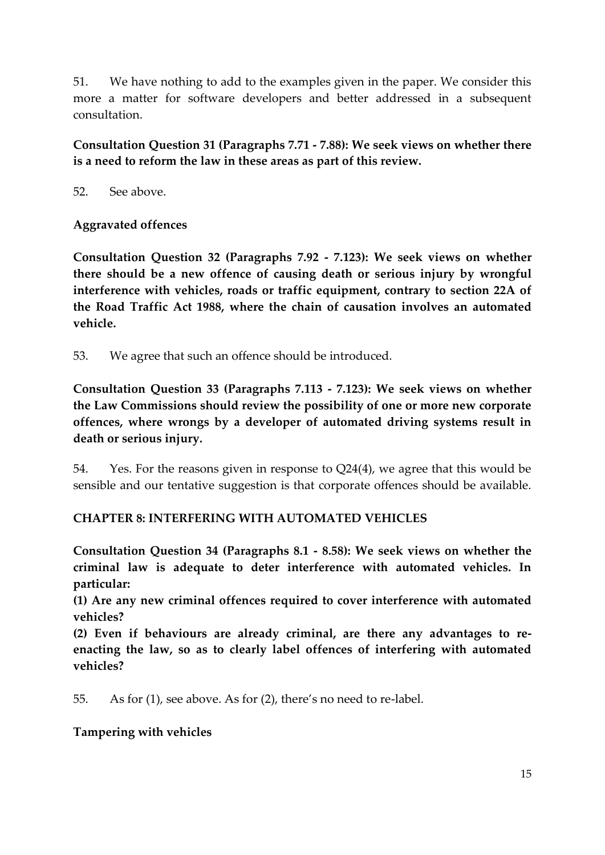51. We have nothing to add to the examples given in the paper. We consider this more a matter for software developers and better addressed in a subsequent consultation.

**Consultation Question 31 (Paragraphs 7.71 - 7.88): We seek views on whether there is a need to reform the law in these areas as part of this review.**

52. See above.

#### **Aggravated offences**

**Consultation Question 32 (Paragraphs 7.92 - 7.123): We seek views on whether there should be a new offence of causing death or serious injury by wrongful interference with vehicles, roads or traffic equipment, contrary to section 22A of the Road Traffic Act 1988, where the chain of causation involves an automated vehicle.**

53. We agree that such an offence should be introduced.

**Consultation Question 33 (Paragraphs 7.113 - 7.123): We seek views on whether the Law Commissions should review the possibility of one or more new corporate offences, where wrongs by a developer of automated driving systems result in death or serious injury.**

54. Yes. For the reasons given in response to Q24(4), we agree that this would be sensible and our tentative suggestion is that corporate offences should be available.

## **CHAPTER 8: INTERFERING WITH AUTOMATED VEHICLES**

**Consultation Question 34 (Paragraphs 8.1 - 8.58): We seek views on whether the criminal law is adequate to deter interference with automated vehicles. In particular:**

**(1) Are any new criminal offences required to cover interference with automated vehicles?**

**(2) Even if behaviours are already criminal, are there any advantages to reenacting the law, so as to clearly label offences of interfering with automated vehicles?**

55. As for (1), see above. As for (2), there's no need to re-label.

#### **Tampering with vehicles**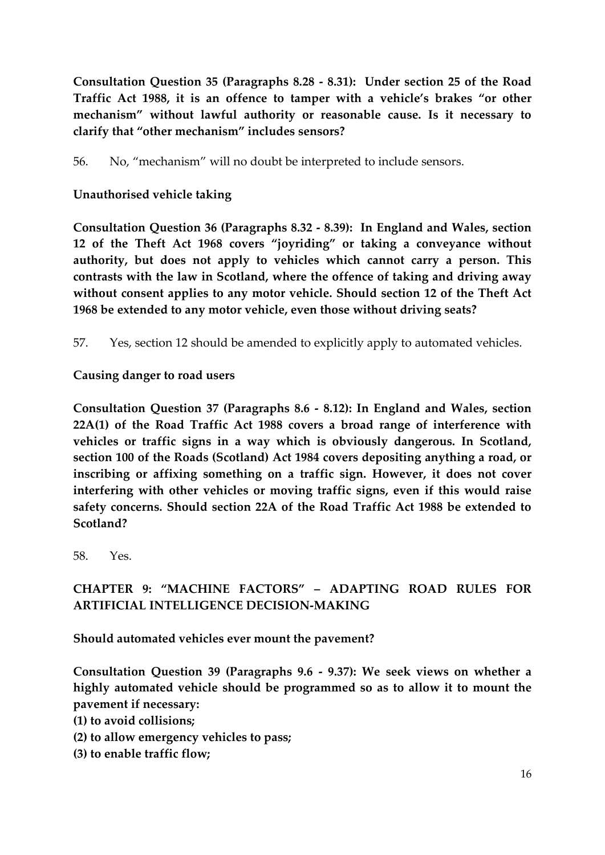**Consultation Question 35 (Paragraphs 8.28 - 8.31): Under section 25 of the Road Traffic Act 1988, it is an offence to tamper with a vehicle's brakes "or other mechanism" without lawful authority or reasonable cause. Is it necessary to clarify that "other mechanism" includes sensors?**

56. No, "mechanism" will no doubt be interpreted to include sensors.

#### **Unauthorised vehicle taking**

**Consultation Question 36 (Paragraphs 8.32 - 8.39): In England and Wales, section 12 of the Theft Act 1968 covers "joyriding" or taking a conveyance without authority, but does not apply to vehicles which cannot carry a person. This contrasts with the law in Scotland, where the offence of taking and driving away without consent applies to any motor vehicle. Should section 12 of the Theft Act 1968 be extended to any motor vehicle, even those without driving seats?**

57. Yes, section 12 should be amended to explicitly apply to automated vehicles.

**Causing danger to road users** 

**Consultation Question 37 (Paragraphs 8.6 - 8.12): In England and Wales, section 22A(1) of the Road Traffic Act 1988 covers a broad range of interference with vehicles or traffic signs in a way which is obviously dangerous. In Scotland, section 100 of the Roads (Scotland) Act 1984 covers depositing anything a road, or inscribing or affixing something on a traffic sign. However, it does not cover interfering with other vehicles or moving traffic signs, even if this would raise safety concerns. Should section 22A of the Road Traffic Act 1988 be extended to Scotland?**

58. Yes.

# **CHAPTER 9: "MACHINE FACTORS" – ADAPTING ROAD RULES FOR ARTIFICIAL INTELLIGENCE DECISION-MAKING**

**Should automated vehicles ever mount the pavement?** 

**Consultation Question 39 (Paragraphs 9.6 - 9.37): We seek views on whether a highly automated vehicle should be programmed so as to allow it to mount the pavement if necessary:** 

- **(1) to avoid collisions;**
- **(2) to allow emergency vehicles to pass;**
- **(3) to enable traffic flow;**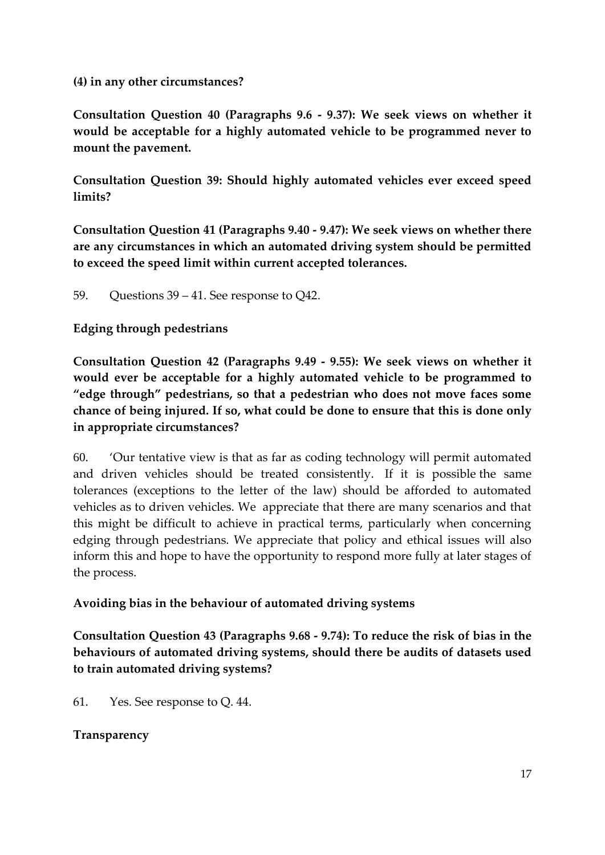#### **(4) in any other circumstances?**

**Consultation Question 40 (Paragraphs 9.6 - 9.37): We seek views on whether it would be acceptable for a highly automated vehicle to be programmed never to mount the pavement.** 

**Consultation Question 39: Should highly automated vehicles ever exceed speed limits?** 

**Consultation Question 41 (Paragraphs 9.40 - 9.47): We seek views on whether there are any circumstances in which an automated driving system should be permitted to exceed the speed limit within current accepted tolerances.**

59. Questions 39 – 41. See response to Q42.

## **Edging through pedestrians**

**Consultation Question 42 (Paragraphs 9.49 - 9.55): We seek views on whether it would ever be acceptable for a highly automated vehicle to be programmed to "edge through" pedestrians, so that a pedestrian who does not move faces some chance of being injured. If so, what could be done to ensure that this is done only in appropriate circumstances?**

60. 'Our tentative view is that as far as coding technology will permit automated and driven vehicles should be treated consistently. If it is possible the same tolerances (exceptions to the letter of the law) should be afforded to automated vehicles as to driven vehicles. We appreciate that there are many scenarios and that this might be difficult to achieve in practical terms, particularly when concerning edging through pedestrians. We appreciate that policy and ethical issues will also inform this and hope to have the opportunity to respond more fully at later stages of the process.

#### **Avoiding bias in the behaviour of automated driving systems**

**Consultation Question 43 (Paragraphs 9.68 - 9.74): To reduce the risk of bias in the behaviours of automated driving systems, should there be audits of datasets used to train automated driving systems?**

61. Yes. See response to Q. 44.

## **Transparency**